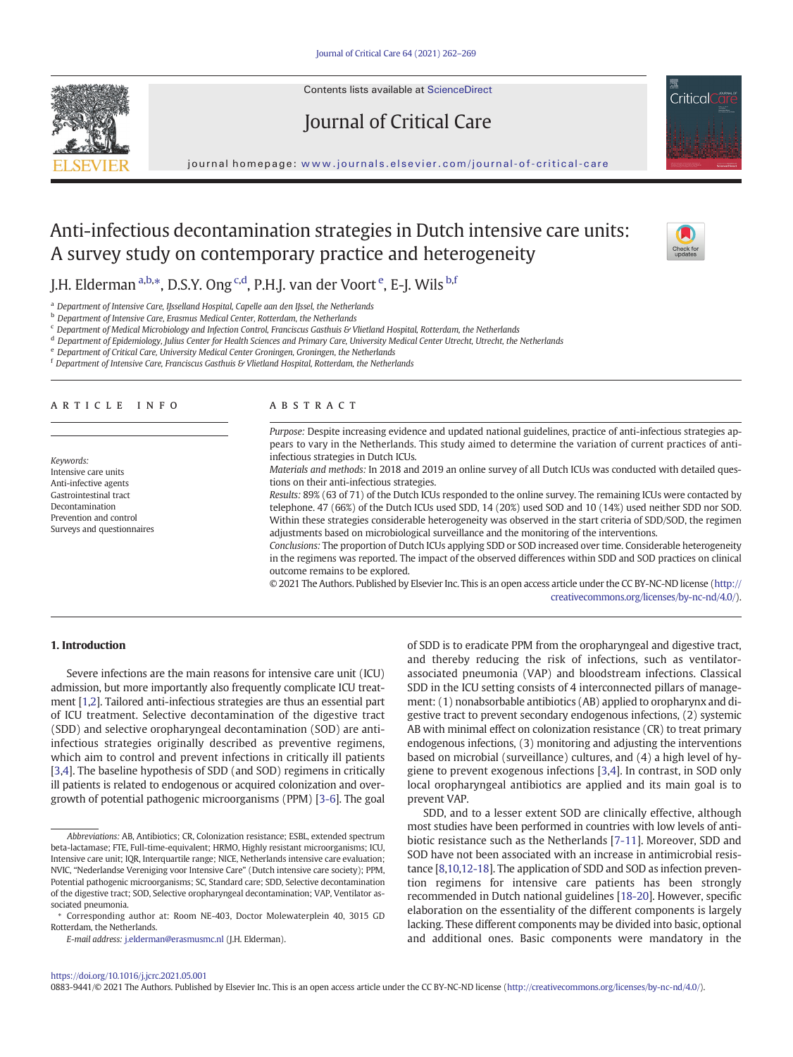Contents lists available at ScienceDirect

# Journal of Critical Care

journal homepage: <www.journals.elsevier.com/journal-of-critical-care>

# Anti-infectious decontamination strategies in Dutch intensive care units: A survey study on contemporary practice and heterogeneity

J.H. Elderman <sup>a,b,</sup>\*, D.S.Y. Ong <sup>c,d</sup>, P.H.J. van der Voort <sup>e</sup>, E-J. Wils <sup>b,f</sup>

<sup>a</sup> Department of Intensive Care, IJsselland Hospital, Capelle aan den IJssel, the Netherlands

**b** Department of Intensive Care, Erasmus Medical Center, Rotterdam, the Netherlands

<sup>c</sup> Department of Medical Microbiology and Infection Control, Franciscus Gasthuis & Vlietland Hospital, Rotterdam, the Netherlands

<sup>d</sup> Department of Epidemiology, Julius Center for Health Sciences and Primary Care, University Medical Center Utrecht, Utrecht, the Netherlands

<sup>e</sup> Department of Critical Care, University Medical Center Groningen, Groningen, the Netherlands

 $f$  Department of Intensive Care, Franciscus Gasthuis & Vlietland Hospital, Rotterdam, the Netherlands

### article info abstract

Keywords: Intensive care units Anti-infective agents Gastrointestinal tract Decontamination Prevention and control Surveys and questionnaires

Purpose: Despite increasing evidence and updated national guidelines, practice of anti-infectious strategies appears to vary in the Netherlands. This study aimed to determine the variation of current practices of antiinfectious strategies in Dutch ICUs.

Materials and methods: In 2018 and 2019 an online survey of all Dutch ICUs was conducted with detailed questions on their anti-infectious strategies.

Results: 89% (63 of 71) of the Dutch ICUs responded to the online survey. The remaining ICUs were contacted by telephone. 47 (66%) of the Dutch ICUs used SDD, 14 (20%) used SOD and 10 (14%) used neither SDD nor SOD. Within these strategies considerable heterogeneity was observed in the start criteria of SDD/SOD, the regimen adjustments based on microbiological surveillance and the monitoring of the interventions.

Conclusions: The proportion of Dutch ICUs applying SDD or SOD increased over time. Considerable heterogeneity in the regimens was reported. The impact of the observed differences within SDD and SOD practices on clinical outcome remains to be explored.

© 2021 The Authors. Published by Elsevier Inc. This is an open access article under the CC BY-NC-ND license ([http://](http://creativecommons.org/licenses/by-nc-nd/4.0/) [creativecommons.org/licenses/by-nc-nd/4.0/\)](http://creativecommons.org/licenses/by-nc-nd/4.0/).

### 1. Introduction

Severe infections are the main reasons for intensive care unit (ICU) admission, but more importantly also frequently complicate ICU treatment [[1,2](#page-6-0)]. Tailored anti-infectious strategies are thus an essential part of ICU treatment. Selective decontamination of the digestive tract (SDD) and selective oropharyngeal decontamination (SOD) are antiinfectious strategies originally described as preventive regimens, which aim to control and prevent infections in critically ill patients [[3](#page-6-0)[,4\]](#page-7-0). The baseline hypothesis of SDD (and SOD) regimens in critically ill patients is related to endogenous or acquired colonization and overgrowth of potential pathogenic microorganisms (PPM) [[3-6](#page-6-0)]. The goal

of SDD is to eradicate PPM from the oropharyngeal and digestive tract, and thereby reducing the risk of infections, such as ventilatorassociated pneumonia (VAP) and bloodstream infections. Classical SDD in the ICU setting consists of 4 interconnected pillars of management: (1) nonabsorbable antibiotics (AB) applied to oropharynx and digestive tract to prevent secondary endogenous infections, (2) systemic AB with minimal effect on colonization resistance (CR) to treat primary endogenous infections, (3) monitoring and adjusting the interventions based on microbial (surveillance) cultures, and (4) a high level of hygiene to prevent exogenous infections [[3](#page-6-0)[,4\]](#page-7-0). In contrast, in SOD only local oropharyngeal antibiotics are applied and its main goal is to prevent VAP.

SDD, and to a lesser extent SOD are clinically effective, although most studies have been performed in countries with low levels of antibiotic resistance such as the Netherlands [[7-11\]](#page-7-0). Moreover, SDD and SOD have not been associated with an increase in antimicrobial resistance [[8,10,12-18](#page-7-0)]. The application of SDD and SOD as infection prevention regimens for intensive care patients has been strongly recommended in Dutch national guidelines [\[18-20](#page-7-0)]. However, specific elaboration on the essentiality of the different components is largely lacking. These different components may be divided into basic, optional and additional ones. Basic components were mandatory in the

### <https://doi.org/10.1016/j.jcrc.2021.05.001>

0883-9441/© 2021 The Authors. Published by Elsevier Inc. This is an open access article under the CC BY-NC-ND license [\(http://creativecommons.org/licenses/by-nc-nd/4.0/\)](http://creativecommons.org/licenses/by-nc-nd/4.0/).





Abbreviations: AB, Antibiotics; CR, Colonization resistance; ESBL, extended spectrum beta-lactamase; FTE, Full-time-equivalent; HRMO, Highly resistant microorganisms; ICU, Intensive care unit; IQR, Interquartile range; NICE, Netherlands intensive care evaluation; NVIC, "Nederlandse Vereniging voor Intensive Care" (Dutch intensive care society); PPM, Potential pathogenic microorganisms; SC, Standard care; SDD, Selective decontamination of the digestive tract; SOD, Selective oropharyngeal decontamination; VAP, Ventilator associated pneumonia.

<sup>⁎</sup> Corresponding author at: Room NE-403, Doctor Molewaterplein 40, 3015 GD Rotterdam, the Netherlands.

E-mail address: [j.elderman@erasmusmc.nl](mailto:j.elderman@erasmusmc.nl) (J.H. Elderman).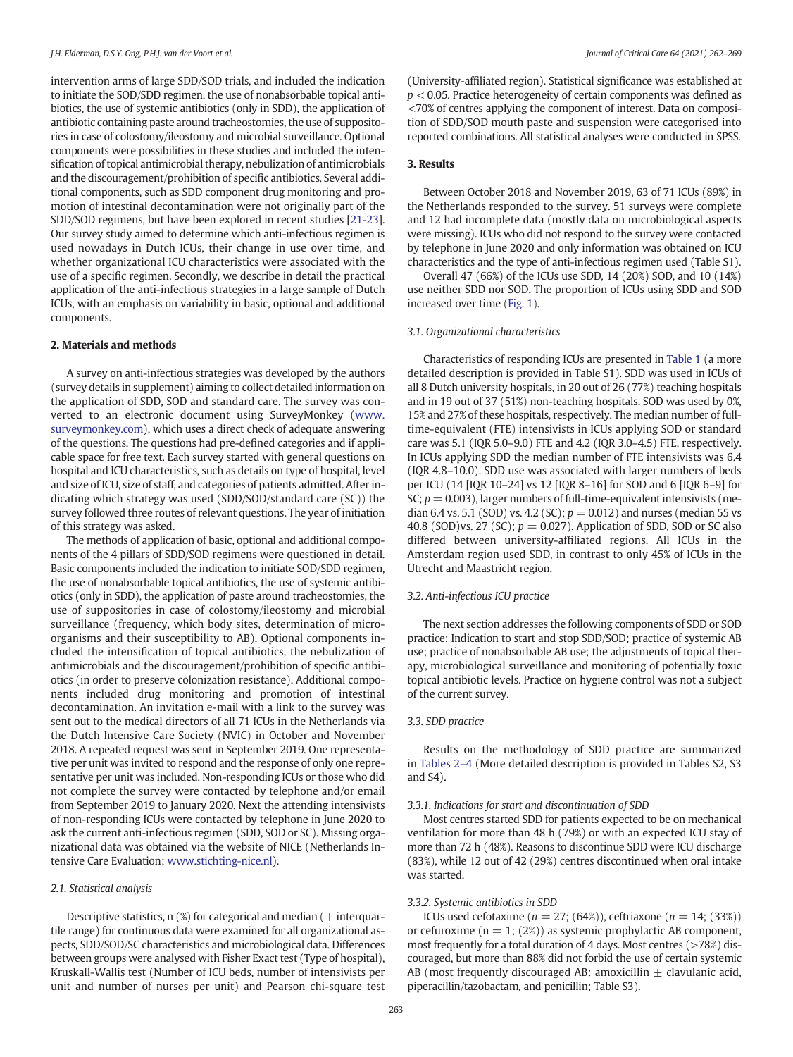intervention arms of large SDD/SOD trials, and included the indication to initiate the SOD/SDD regimen, the use of nonabsorbable topical antibiotics, the use of systemic antibiotics (only in SDD), the application of antibiotic containing paste around tracheostomies, the use of suppositories in case of colostomy/ileostomy and microbial surveillance. Optional components were possibilities in these studies and included the intensification of topical antimicrobial therapy, nebulization of antimicrobials and the discouragement/prohibition of specific antibiotics. Several additional components, such as SDD component drug monitoring and promotion of intestinal decontamination were not originally part of the SDD/SOD regimens, but have been explored in recent studies [\[21-23\]](#page-7-0). Our survey study aimed to determine which anti-infectious regimen is used nowadays in Dutch ICUs, their change in use over time, and whether organizational ICU characteristics were associated with the use of a specific regimen. Secondly, we describe in detail the practical application of the anti-infectious strategies in a large sample of Dutch ICUs, with an emphasis on variability in basic, optional and additional components.

## 2. Materials and methods

A survey on anti-infectious strategies was developed by the authors (survey details in supplement) aiming to collect detailed information on the application of SDD, SOD and standard care. The survey was converted to an electronic document using SurveyMonkey ([www.](http://www.surveymonkey.com) [surveymonkey.com\)](http://www.surveymonkey.com), which uses a direct check of adequate answering of the questions. The questions had pre-defined categories and if applicable space for free text. Each survey started with general questions on hospital and ICU characteristics, such as details on type of hospital, level and size of ICU, size of staff, and categories of patients admitted. After indicating which strategy was used (SDD/SOD/standard care (SC)) the survey followed three routes of relevant questions. The year of initiation of this strategy was asked.

The methods of application of basic, optional and additional components of the 4 pillars of SDD/SOD regimens were questioned in detail. Basic components included the indication to initiate SOD/SDD regimen, the use of nonabsorbable topical antibiotics, the use of systemic antibiotics (only in SDD), the application of paste around tracheostomies, the use of suppositories in case of colostomy/ileostomy and microbial surveillance (frequency, which body sites, determination of microorganisms and their susceptibility to AB). Optional components included the intensification of topical antibiotics, the nebulization of antimicrobials and the discouragement/prohibition of specific antibiotics (in order to preserve colonization resistance). Additional components included drug monitoring and promotion of intestinal decontamination. An invitation e-mail with a link to the survey was sent out to the medical directors of all 71 ICUs in the Netherlands via the Dutch Intensive Care Society (NVIC) in October and November 2018. A repeated request was sent in September 2019. One representative per unit was invited to respond and the response of only one representative per unit was included. Non-responding ICUs or those who did not complete the survey were contacted by telephone and/or email from September 2019 to January 2020. Next the attending intensivists of non-responding ICUs were contacted by telephone in June 2020 to ask the current anti-infectious regimen (SDD, SOD or SC). Missing organizational data was obtained via the website of NICE (Netherlands Intensive Care Evaluation; [www.stichting-nice.nl\)](http://www.stichting-nice.nl).

### 2.1. Statistical analysis

Descriptive statistics,  $n$  (%) for categorical and median ( $+$  interquartile range) for continuous data were examined for all organizational aspects, SDD/SOD/SC characteristics and microbiological data. Differences between groups were analysed with Fisher Exact test (Type of hospital), Kruskall-Wallis test (Number of ICU beds, number of intensivists per unit and number of nurses per unit) and Pearson chi-square test (University-affiliated region). Statistical significance was established at  $p < 0.05$ . Practice heterogeneity of certain components was defined as <70% of centres applying the component of interest. Data on composition of SDD/SOD mouth paste and suspension were categorised into reported combinations. All statistical analyses were conducted in SPSS.

### 3. Results

Between October 2018 and November 2019, 63 of 71 ICUs (89%) in the Netherlands responded to the survey. 51 surveys were complete and 12 had incomplete data (mostly data on microbiological aspects were missing). ICUs who did not respond to the survey were contacted by telephone in June 2020 and only information was obtained on ICU characteristics and the type of anti-infectious regimen used (Table S1).

Overall 47 (66%) of the ICUs use SDD, 14 (20%) SOD, and 10 (14%) use neither SDD nor SOD. The proportion of ICUs using SDD and SOD increased over time ([Fig. 1](#page-2-0)).

### 3.1. Organizational characteristics

Characteristics of responding ICUs are presented in [Table 1](#page-2-0) (a more detailed description is provided in Table S1). SDD was used in ICUs of all 8 Dutch university hospitals, in 20 out of 26 (77%) teaching hospitals and in 19 out of 37 (51%) non-teaching hospitals. SOD was used by 0%, 15% and 27% of these hospitals, respectively. The median number of fulltime-equivalent (FTE) intensivists in ICUs applying SOD or standard care was 5.1 (IQR 5.0–9.0) FTE and 4.2 (IQR 3.0–4.5) FTE, respectively. In ICUs applying SDD the median number of FTE intensivists was 6.4 (IQR 4.8–10.0). SDD use was associated with larger numbers of beds per ICU (14 [IQR 10–24] vs 12 [IQR 8–16] for SOD and 6 [IQR 6–9] for SC;  $p = 0.003$ ), larger numbers of full-time-equivalent intensivists (median 6.4 vs. 5.1 (SOD) vs. 4.2 (SC);  $p = 0.012$ ) and nurses (median 55 vs 40.8 (SOD)vs. 27 (SC);  $p = 0.027$ ). Application of SDD, SOD or SC also differed between university-affiliated regions. All ICUs in the Amsterdam region used SDD, in contrast to only 45% of ICUs in the Utrecht and Maastricht region.

### 3.2. Anti-infectious ICU practice

The next section addresses the following components of SDD or SOD practice: Indication to start and stop SDD/SOD; practice of systemic AB use; practice of nonabsorbable AB use; the adjustments of topical therapy, microbiological surveillance and monitoring of potentially toxic topical antibiotic levels. Practice on hygiene control was not a subject of the current survey.

### 3.3. SDD practice

Results on the methodology of SDD practice are summarized in [Tables 2](#page-3-0)–4 (More detailed description is provided in Tables S2, S3 and S4).

### 3.3.1. Indications for start and discontinuation of SDD

Most centres started SDD for patients expected to be on mechanical ventilation for more than 48 h (79%) or with an expected ICU stay of more than 72 h (48%). Reasons to discontinue SDD were ICU discharge (83%), while 12 out of 42 (29%) centres discontinued when oral intake was started.

### 3.3.2. Systemic antibiotics in SDD

ICUs used cefotaxime ( $n = 27$ ; (64%)), ceftriaxone ( $n = 14$ ; (33%)) or cefuroxime ( $n = 1$ ; (2%)) as systemic prophylactic AB component, most frequently for a total duration of 4 days. Most centres (>78%) discouraged, but more than 88% did not forbid the use of certain systemic AB (most frequently discouraged AB: amoxicillin  $\pm$  clavulanic acid, piperacillin/tazobactam, and penicillin; Table S3).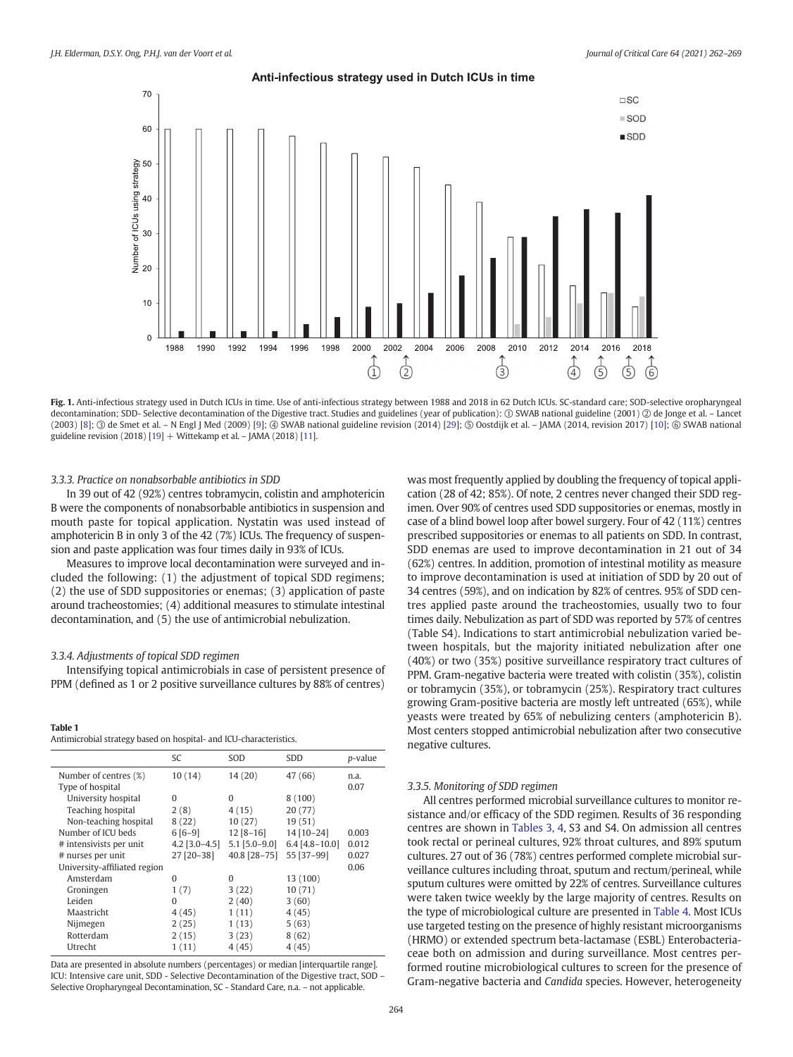<span id="page-2-0"></span>70

60

 $\square$  SC  $\equiv$ SOD

 $SDD$ 

# Anti-infectious strategy used in Dutch ICUs in time



Fig. 1. Anti-infectious strategy used in Dutch ICUs in time. Use of anti-infectious strategy between 1988 and 2018 in 62 Dutch ICUs. SC-standard care; SOD-selective oropharyngeal decontamination; SDD- Selective decontamination of the Digestive tract. Studies and guidelines (year of publication): ① SWAB national guideline (2001) ② de Jonge et al. – Lancet (2003) [[8](#page-7-0)]; ③ de Smet et al. – N Engl J Med (2009) [[9](#page-7-0)]; ④ SWAB national guideline revision (2014) [\[29\]](#page-7-0); ⑤ Oostdijk et al. – JAMA (2014, revision 2017) [\[10\]](#page-7-0); ⑥ SWAB national guideline revision (2018) [[19\]](#page-7-0) + Wittekamp et al. – JAMA (2018) [[11\]](#page-7-0).

### 3.3.3. Practice on nonabsorbable antibiotics in SDD

In 39 out of 42 (92%) centres tobramycin, colistin and amphotericin B were the components of nonabsorbable antibiotics in suspension and mouth paste for topical application. Nystatin was used instead of amphotericin B in only 3 of the 42 (7%) ICUs. The frequency of suspension and paste application was four times daily in 93% of ICUs.

Measures to improve local decontamination were surveyed and included the following: (1) the adjustment of topical SDD regimens; (2) the use of SDD suppositories or enemas; (3) application of paste around tracheostomies; (4) additional measures to stimulate intestinal decontamination, and (5) the use of antimicrobial nebulization.

### 3.3.4. Adjustments of topical SDD regimen

Intensifying topical antimicrobials in case of persistent presence of PPM (defined as 1 or 2 positive surveillance cultures by 88% of centres)

### Table 1

Antimicrobial strategy based on hospital- and ICU-characteristics.

|                              | SC              | SOD             | SDD              | p-value |
|------------------------------|-----------------|-----------------|------------------|---------|
| Number of centres (%)        | 10(14)          | 14(20)          | 47 (66)          | n.a.    |
| Type of hospital             |                 |                 |                  | 0.07    |
| University hospital          | 0               | $\Omega$        | 8(100)           |         |
| Teaching hospital            | 2(8)            | 4(15)           | 20(77)           |         |
| Non-teaching hospital        | 8(22)           | 10(27)          | 19(51)           |         |
| Number of ICU beds           | $6[6-9]$        | $12 [8 - 16]$   | 14 [10-24]       | 0.003   |
| # intensivists per unit      | $4.2$ [3.0-4.5] | $5.1$ [5.0-9.0] | $6.4$ [4.8-10.0] | 0.012   |
| # nurses per unit            | 27 [20-38]      | 40.8 [28-75]    | 55 [37-99]       | 0.027   |
| University-affiliated region |                 |                 |                  | 0.06    |
| Amsterdam                    | O               | $\Omega$        | 13 (100)         |         |
| Groningen                    | 1(7)            | 3(22)           | 10(71)           |         |
| Leiden                       | $\Omega$        | 2(40)           | 3(60)            |         |
| Maastricht                   | 4(45)           | 1(11)           | 4(45)            |         |
| Nijmegen                     | 2(25)           | 1(13)           | 5(63)            |         |
| Rotterdam                    | 2(15)           | 3(23)           | 8(62)            |         |
| Utrecht                      | 1(11)           | 4(45)           | 4(45)            |         |

Data are presented in absolute numbers (percentages) or median [interquartile range]. ICU: Intensive care unit, SDD - Selective Decontamination of the Digestive tract, SOD – Selective Oropharyngeal Decontamination, SC - Standard Care, n.a. – not applicable.

was most frequently applied by doubling the frequency of topical application (28 of 42; 85%). Of note, 2 centres never changed their SDD regimen. Over 90% of centres used SDD suppositories or enemas, mostly in case of a blind bowel loop after bowel surgery. Four of 42 (11%) centres prescribed suppositories or enemas to all patients on SDD. In contrast, SDD enemas are used to improve decontamination in 21 out of 34 (62%) centres. In addition, promotion of intestinal motility as measure to improve decontamination is used at initiation of SDD by 20 out of 34 centres (59%), and on indication by 82% of centres. 95% of SDD centres applied paste around the tracheostomies, usually two to four times daily. Nebulization as part of SDD was reported by 57% of centres (Table S4). Indications to start antimicrobial nebulization varied between hospitals, but the majority initiated nebulization after one (40%) or two (35%) positive surveillance respiratory tract cultures of PPM. Gram-negative bacteria were treated with colistin (35%), colistin or tobramycin (35%), or tobramycin (25%). Respiratory tract cultures growing Gram-positive bacteria are mostly left untreated (65%), while yeasts were treated by 65% of nebulizing centers (amphotericin B). Most centers stopped antimicrobial nebulization after two consecutive negative cultures.

### 3.3.5. Monitoring of SDD regimen

All centres performed microbial surveillance cultures to monitor resistance and/or efficacy of the SDD regimen. Results of 36 responding centres are shown in [Tables 3, 4](#page-5-0), S3 and S4. On admission all centres took rectal or perineal cultures, 92% throat cultures, and 89% sputum cultures. 27 out of 36 (78%) centres performed complete microbial surveillance cultures including throat, sputum and rectum/perineal, while sputum cultures were omitted by 22% of centres. Surveillance cultures were taken twice weekly by the large majority of centres. Results on the type of microbiological culture are presented in [Table 4](#page-6-0). Most ICUs use targeted testing on the presence of highly resistant microorganisms (HRMO) or extended spectrum beta-lactamase (ESBL) Enterobacteriaceae both on admission and during surveillance. Most centres performed routine microbiological cultures to screen for the presence of Gram-negative bacteria and Candida species. However, heterogeneity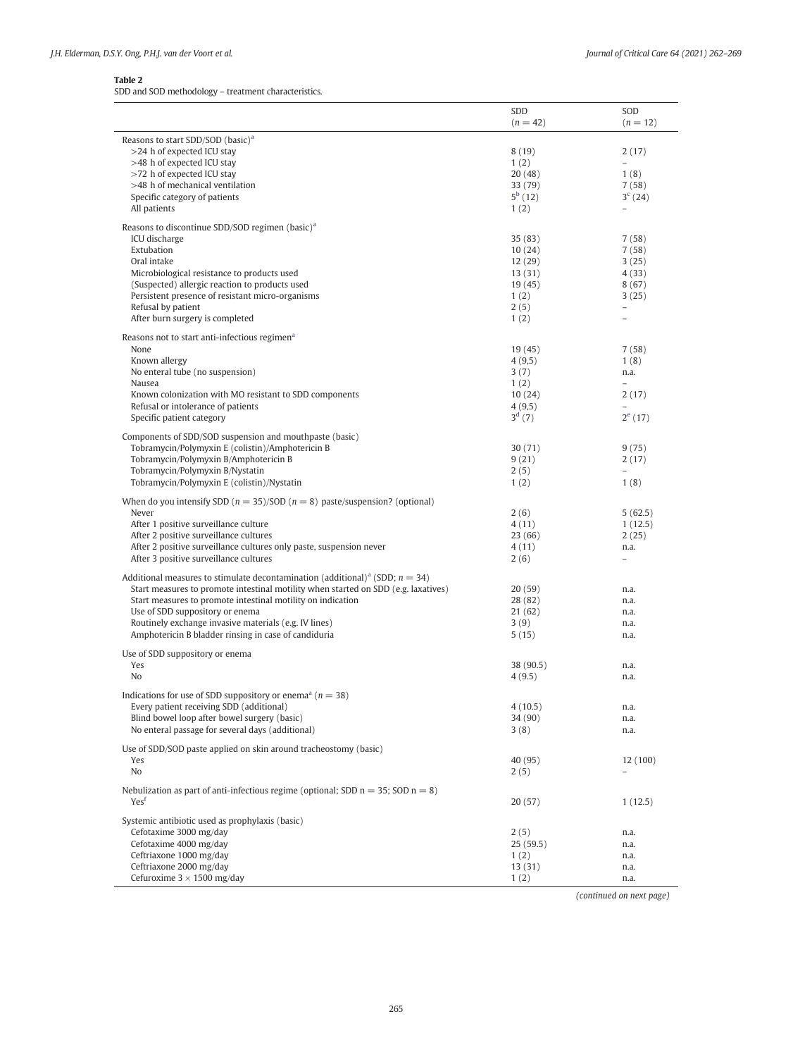### <span id="page-3-0"></span>Table 2

SDD and SOD methodology – treatment characteristics.

|                                                                                             | SDD<br>$(n = 42)$ | SOD<br>$(n = 12)$        |
|---------------------------------------------------------------------------------------------|-------------------|--------------------------|
|                                                                                             |                   |                          |
| Reasons to start SDD/SOD (basic) <sup>a</sup>                                               |                   |                          |
| >24 h of expected ICU stay<br>>48 h of expected ICU stay                                    | 8(19)             | 2(17)                    |
| >72 h of expected ICU stay                                                                  | 1(2)<br>20(48)    | 1(8)                     |
| >48 h of mechanical ventilation                                                             | 33 (79)           | 7(58)                    |
| Specific category of patients                                                               | $5^{\rm b}$ (12)  | $3^{c}$ (24)             |
| All patients                                                                                | 1(2)              | $\equiv$                 |
|                                                                                             |                   |                          |
| Reasons to discontinue SDD/SOD regimen (basic) <sup>a</sup><br>ICU discharge                | 35(83)            | 7(58)                    |
| Extubation                                                                                  | 10(24)            | 7(58)                    |
| Oral intake                                                                                 | 12(29)            | 3(25)                    |
| Microbiological resistance to products used                                                 | 13 (31)           | 4 (33)                   |
| (Suspected) allergic reaction to products used                                              | 19 (45)           | 8(67)                    |
| Persistent presence of resistant micro-organisms                                            | 1(2)              | 3(25)                    |
| Refusal by patient                                                                          | 2(5)              | $\overline{\phantom{0}}$ |
| After burn surgery is completed                                                             | 1(2)              | $\overline{\phantom{0}}$ |
| Reasons not to start anti-infectious regimen <sup>a</sup>                                   |                   |                          |
| None                                                                                        | 19(45)            | 7(58)                    |
| Known allergy                                                                               | 4(9,5)            | 1(8)                     |
| No enteral tube (no suspension)                                                             | 3(7)              | n.a.                     |
| Nausea                                                                                      | 1(2)              | $\equiv$                 |
| Known colonization with MO resistant to SDD components                                      | 10(24)            | 2(17)                    |
| Refusal or intolerance of patients                                                          | 4(9,5)            |                          |
| Specific patient category                                                                   | $3^{d}$ (7)       | $2^{e}$ (17)             |
| Components of SDD/SOD suspension and mouthpaste (basic)                                     |                   |                          |
| Tobramycin/Polymyxin E (colistin)/Amphotericin B                                            | 30(71)            | 9(75)                    |
| Tobramycin/Polymyxin B/Amphotericin B                                                       | 9(21)             | 2(17)                    |
| Tobramycin/Polymyxin B/Nystatin                                                             | 2(5)              | $\equiv$                 |
| Tobramycin/Polymyxin E (colistin)/Nystatin                                                  | 1(2)              | 1(8)                     |
| When do you intensify SDD ( $n = 35$ )/SOD ( $n = 8$ ) paste/suspension? (optional)         |                   |                          |
| Never                                                                                       | 2(6)              | 5(62.5)                  |
| After 1 positive surveillance culture                                                       | 4(11)             | 1(12.5)                  |
| After 2 positive surveillance cultures                                                      | 23 (66)           | 2(25)                    |
| After 2 positive surveillance cultures only paste, suspension never                         | 4(11)             | n.a.                     |
| After 3 positive surveillance cultures                                                      | 2(6)              | $\overline{\phantom{0}}$ |
| Additional measures to stimulate decontamination (additional) <sup>a</sup> (SDD; $n = 34$ ) |                   |                          |
| Start measures to promote intestinal motility when started on SDD (e.g. laxatives)          | 20(59)            | n.a.                     |
| Start measures to promote intestinal motility on indication                                 | 28 (82)           | n.a.                     |
| Use of SDD suppository or enema                                                             | 21(62)            | n.a.                     |
| Routinely exchange invasive materials (e.g. IV lines)                                       | 3(9)              | n.a.                     |
| Amphotericin B bladder rinsing in case of candiduria                                        | 5(15)             | n.a.                     |
| Use of SDD suppository or enema                                                             |                   |                          |
| Yes                                                                                         | 38 (90.5)         | n.a.                     |
| N <sub>o</sub>                                                                              | 4(9.5)            | n.a.                     |
| Indications for use of SDD suppository or enema <sup>a</sup> ( $n = 38$ )                   |                   |                          |
| Every patient receiving SDD (additional)                                                    | 4(10.5)           | n.a.                     |
| Blind bowel loop after bowel surgery (basic)                                                | 34 (90)           | n.a.                     |
| No enteral passage for several days (additional)                                            | 3(8)              | n.a.                     |
| Use of SDD/SOD paste applied on skin around tracheostomy (basic)                            |                   |                          |
| Yes                                                                                         | 40 (95)           | 12 (100)                 |
| No                                                                                          | 2(5)              |                          |
|                                                                                             |                   |                          |
| Nebulization as part of anti-infectious regime (optional; SDD $n = 35$ ; SOD $n = 8$ )      |                   |                          |
| Yes <sup>r</sup>                                                                            | 20 (57)           | 1(12.5)                  |
| Systemic antibiotic used as prophylaxis (basic)                                             |                   |                          |
| Cefotaxime 3000 mg/day                                                                      | 2(5)              | n.a.                     |
| Cefotaxime 4000 mg/day                                                                      | 25(59.5)          | n.a.                     |
| Ceftriaxone 1000 mg/day                                                                     | 1(2)              | n.a.                     |
| Ceftriaxone 2000 mg/day                                                                     | 13 (31)           | n.a.                     |
| Cefuroxime $3 \times 1500$ mg/day                                                           | 1(2)              | n.a.                     |

(continued on next page)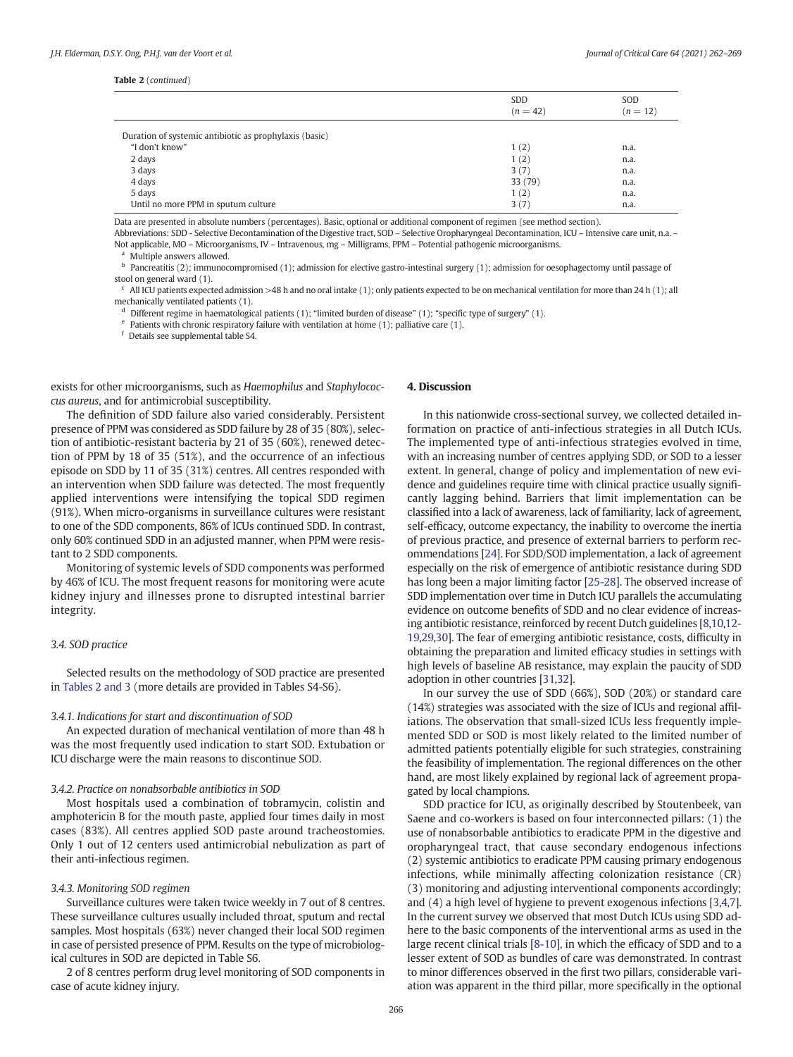### <span id="page-4-0"></span>Table 2 (continued)

|                                                        | SDD<br>$(n = 42)$ | SOD<br>$(n = 12)$ |
|--------------------------------------------------------|-------------------|-------------------|
| Duration of systemic antibiotic as prophylaxis (basic) |                   |                   |
| "I don't know"                                         | 1(2)              | n.a.              |
| 2 days                                                 | 1(2)              | n.a.              |
| 3 days                                                 | 3(7)              | n.a.              |
| 4 days                                                 | 33 (79)           | n.a.              |
| 5 days                                                 | 1(2)              | n.a.              |
| Until no more PPM in sputum culture                    | 3(7)              | n.a.              |

Data are presented in absolute numbers (percentages). Basic, optional or additional component of regimen (see method section).

Abbreviations: SDD - Selective Decontamination of the Digestive tract, SOD – Selective Oropharyngeal Decontamination, ICU – Intensive care unit, n.a. – Not applicable, MO – Microorganisms, IV – Intravenous, mg – Milligrams, PPM – Potential pathogenic microorganisms.

Multiple answers allowed.

 $<sup>b</sup>$  Pancreatitis (2); immunocompromised (1); admission for elective gastro-intestinal surgery (1); admission for oesophagectomy until passage of</sup> stool on general ward (1).

<sup>c</sup> All ICU patients expected admission >48 h and no oral intake (1); only patients expected to be on mechanical ventilation for more than 24 h (1); all mechanically ventilated patients (1).

<sup>d</sup> Different regime in haematological patients (1); "limited burden of disease" (1); "specific type of surgery" (1).

Patients with chronic respiratory failure with ventilation at home (1); palliative care (1).

<sup>f</sup> Details see supplemental table S4.

exists for other microorganisms, such as Haemophilus and Staphylococcus aureus, and for antimicrobial susceptibility.

The definition of SDD failure also varied considerably. Persistent presence of PPM was considered as SDD failure by 28 of 35 (80%), selection of antibiotic-resistant bacteria by 21 of 35 (60%), renewed detection of PPM by 18 of 35 (51%), and the occurrence of an infectious episode on SDD by 11 of 35 (31%) centres. All centres responded with an intervention when SDD failure was detected. The most frequently applied interventions were intensifying the topical SDD regimen (91%). When micro-organisms in surveillance cultures were resistant to one of the SDD components, 86% of ICUs continued SDD. In contrast, only 60% continued SDD in an adjusted manner, when PPM were resistant to 2 SDD components.

Monitoring of systemic levels of SDD components was performed by 46% of ICU. The most frequent reasons for monitoring were acute kidney injury and illnesses prone to disrupted intestinal barrier integrity.

## 3.4. SOD practice

Selected results on the methodology of SOD practice are presented in [Tables 2 and 3](#page-3-0) (more details are provided in Tables S4-S6).

### 3.4.1. Indications for start and discontinuation of SOD

An expected duration of mechanical ventilation of more than 48 h was the most frequently used indication to start SOD. Extubation or ICU discharge were the main reasons to discontinue SOD.

### 3.4.2. Practice on nonabsorbable antibiotics in SOD

Most hospitals used a combination of tobramycin, colistin and amphotericin B for the mouth paste, applied four times daily in most cases (83%). All centres applied SOD paste around tracheostomies. Only 1 out of 12 centers used antimicrobial nebulization as part of their anti-infectious regimen.

### 3.4.3. Monitoring SOD regimen

Surveillance cultures were taken twice weekly in 7 out of 8 centres. These surveillance cultures usually included throat, sputum and rectal samples. Most hospitals (63%) never changed their local SOD regimen in case of persisted presence of PPM. Results on the type of microbiological cultures in SOD are depicted in Table S6.

2 of 8 centres perform drug level monitoring of SOD components in case of acute kidney injury.

### 4. Discussion

In this nationwide cross-sectional survey, we collected detailed information on practice of anti-infectious strategies in all Dutch ICUs. The implemented type of anti-infectious strategies evolved in time, with an increasing number of centres applying SDD, or SOD to a lesser extent. In general, change of policy and implementation of new evidence and guidelines require time with clinical practice usually significantly lagging behind. Barriers that limit implementation can be classified into a lack of awareness, lack of familiarity, lack of agreement, self-efficacy, outcome expectancy, the inability to overcome the inertia of previous practice, and presence of external barriers to perform recommendations [\[24](#page-7-0)]. For SDD/SOD implementation, a lack of agreement especially on the risk of emergence of antibiotic resistance during SDD has long been a major limiting factor [[25-28\]](#page-7-0). The observed increase of SDD implementation over time in Dutch ICU parallels the accumulating evidence on outcome benefits of SDD and no clear evidence of increasing antibiotic resistance, reinforced by recent Dutch guidelines [\[8,10,12-](#page-7-0) [19](#page-7-0),[29,30](#page-7-0)]. The fear of emerging antibiotic resistance, costs, difficulty in obtaining the preparation and limited efficacy studies in settings with high levels of baseline AB resistance, may explain the paucity of SDD adoption in other countries [\[31,32](#page-7-0)].

In our survey the use of SDD (66%), SOD (20%) or standard care (14%) strategies was associated with the size of ICUs and regional affiliations. The observation that small-sized ICUs less frequently implemented SDD or SOD is most likely related to the limited number of admitted patients potentially eligible for such strategies, constraining the feasibility of implementation. The regional differences on the other hand, are most likely explained by regional lack of agreement propagated by local champions.

SDD practice for ICU, as originally described by Stoutenbeek, van Saene and co-workers is based on four interconnected pillars: (1) the use of nonabsorbable antibiotics to eradicate PPM in the digestive and oropharyngeal tract, that cause secondary endogenous infections (2) systemic antibiotics to eradicate PPM causing primary endogenous infections, while minimally affecting colonization resistance (CR) (3) monitoring and adjusting interventional components accordingly; and (4) a high level of hygiene to prevent exogenous infections [[3](#page-6-0)[,4,7\]](#page-7-0). In the current survey we observed that most Dutch ICUs using SDD adhere to the basic components of the interventional arms as used in the large recent clinical trials [\[8-10\]](#page-7-0), in which the efficacy of SDD and to a lesser extent of SOD as bundles of care was demonstrated. In contrast to minor differences observed in the first two pillars, considerable variation was apparent in the third pillar, more specifically in the optional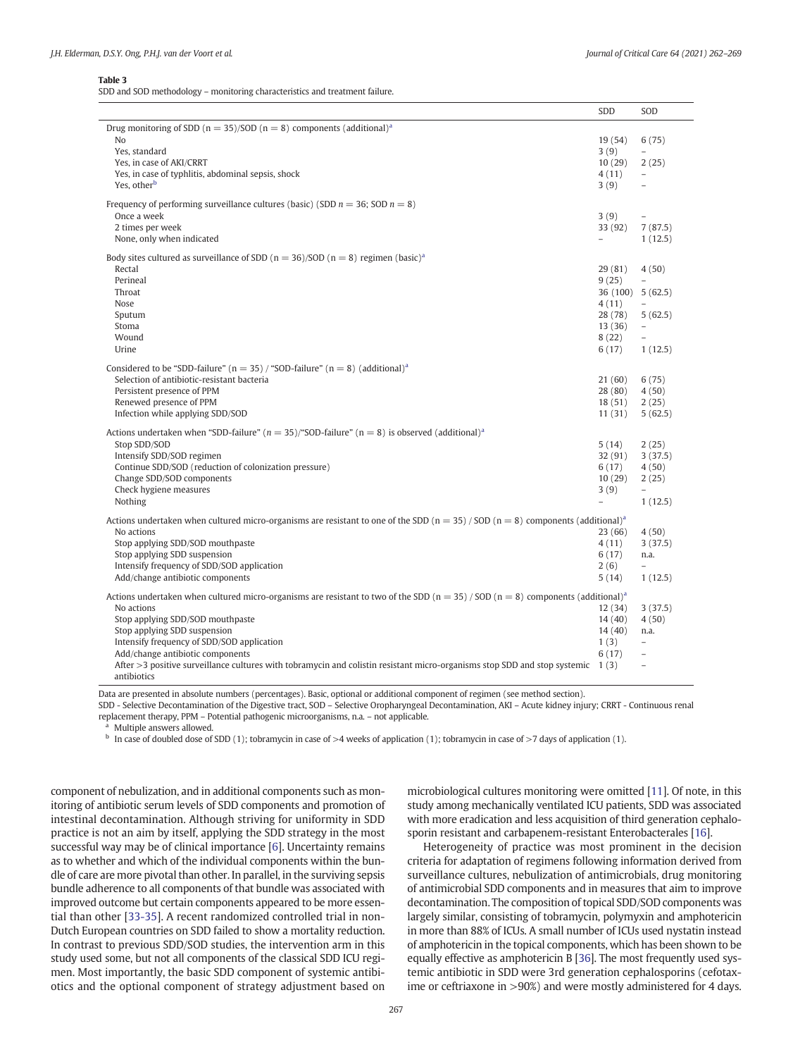### <span id="page-5-0"></span>Table 3

SDD and SOD methodology – monitoring characteristics and treatment failure.

|                                                                                                                                                      | SDD                      | SOD                      |
|------------------------------------------------------------------------------------------------------------------------------------------------------|--------------------------|--------------------------|
| Drug monitoring of SDD ( $n = 35$ )/SOD ( $n = 8$ ) components (additional) <sup>a</sup>                                                             |                          |                          |
| N <sub>o</sub>                                                                                                                                       | 19(54)                   | 6(75)                    |
| Yes, standard                                                                                                                                        | 3(9)                     | $\overline{a}$           |
| Yes, in case of AKI/CRRT                                                                                                                             | 10(29)                   | 2(25)                    |
| Yes, in case of typhlitis, abdominal sepsis, shock                                                                                                   | 4(11)                    | $\equiv$                 |
| Yes, other <sup>b</sup>                                                                                                                              | 3(9)                     | $\equiv$                 |
|                                                                                                                                                      |                          |                          |
| Frequency of performing surveillance cultures (basic) (SDD $n = 36$ ; SOD $n = 8$ )                                                                  |                          |                          |
| Once a week                                                                                                                                          | 3(9)                     | $\overline{\phantom{0}}$ |
| 2 times per week                                                                                                                                     | 33 (92)                  | 7(87.5)                  |
| None, only when indicated                                                                                                                            | $\equiv$                 | 1(12.5)                  |
|                                                                                                                                                      |                          |                          |
| Body sites cultured as surveillance of SDD ( $n = 36$ )/SOD ( $n = 8$ ) regimen (basic) <sup>a</sup>                                                 |                          |                          |
| Rectal                                                                                                                                               | 29(81)                   | 4(50)                    |
| Perineal                                                                                                                                             | 9(25)                    | $\equiv$                 |
| Throat                                                                                                                                               | 36 (100) 5 (62.5)        |                          |
| Nose                                                                                                                                                 | 4(11)                    |                          |
| Sputum                                                                                                                                               | 28 (78)                  | 5(62.5)                  |
| Stoma                                                                                                                                                | 13(36)                   | $\overline{\phantom{a}}$ |
| Wound                                                                                                                                                | 8(22)                    |                          |
| Urine                                                                                                                                                | 6(17)                    | 1(12.5)                  |
| Considered to be "SDD-failure" ( $n = 35$ ) / "SOD-failure" ( $n = 8$ ) (additional) <sup>a</sup>                                                    |                          |                          |
| Selection of antibiotic-resistant bacteria                                                                                                           | 21(60)                   | 6(75)                    |
| Persistent presence of PPM                                                                                                                           | 28 (80)                  | 4(50)                    |
| Renewed presence of PPM                                                                                                                              | 18(51)                   | 2(25)                    |
| Infection while applying SDD/SOD                                                                                                                     | 11(31)                   | 5(62.5)                  |
|                                                                                                                                                      |                          |                          |
| Actions undertaken when "SDD-failure" ( $n = 35$ )/"SOD-failure" ( $n = 8$ ) is observed (additional) <sup>a</sup>                                   |                          |                          |
| Stop SDD/SOD                                                                                                                                         | 5(14)                    | 2(25)                    |
| Intensify SDD/SOD regimen                                                                                                                            | 32(91)                   | 3(37.5)                  |
| Continue SDD/SOD (reduction of colonization pressure)                                                                                                | 6(17)                    | 4(50)                    |
| Change SDD/SOD components                                                                                                                            | 10(29)                   | 2(25)                    |
| Check hygiene measures                                                                                                                               | 3(9)                     | $\overline{\phantom{0}}$ |
| Nothing                                                                                                                                              | $\overline{\phantom{0}}$ | 1(12.5)                  |
| Actions undertaken when cultured micro-organisms are resistant to one of the SDD ( $n = 35$ ) / SOD ( $n = 8$ ) components (additional) <sup>a</sup> |                          |                          |
| No actions                                                                                                                                           | 23(66)                   | 4(50)                    |
| Stop applying SDD/SOD mouthpaste                                                                                                                     | 4(11)                    | 3(37.5)                  |
| Stop applying SDD suspension                                                                                                                         | 6(17)                    | n.a.                     |
| Intensify frequency of SDD/SOD application                                                                                                           | 2(6)                     | $\overline{a}$           |
| Add/change antibiotic components                                                                                                                     | 5(14)                    | 1(12.5)                  |
|                                                                                                                                                      |                          |                          |
| Actions undertaken when cultured micro-organisms are resistant to two of the SDD ( $n = 35$ ) / SOD ( $n = 8$ ) components (additional) <sup>a</sup> |                          |                          |
| No actions                                                                                                                                           | 12(34)                   | 3(37.5)                  |
| Stop applying SDD/SOD mouthpaste                                                                                                                     | 14(40)                   | 4(50)                    |
| Stop applying SDD suspension                                                                                                                         | 14(40)                   | n.a.                     |
| Intensify frequency of SDD/SOD application                                                                                                           | 1(3)                     | $\overline{a}$           |
| Add/change antibiotic components                                                                                                                     | 6(17)                    | $\overline{a}$           |
| After $>3$ positive surveillance cultures with tobramycin and colistin resistant micro-organisms stop SDD and stop systemic 1 (3)                    |                          | $\overline{\phantom{0}}$ |
| antibiotics                                                                                                                                          |                          |                          |

Data are presented in absolute numbers (percentages). Basic, optional or additional component of regimen (see method section).

SDD - Selective Decontamination of the Digestive tract, SOD – Selective Oropharyngeal Decontamination, AKI – Acute kidney injury; CRRT - Continuous renal replacement therapy, PPM – Potential pathogenic microorganisms, n.a. – not applicable.

Multiple answers allowed.

<sup>b</sup> In case of doubled dose of SDD (1); tobramycin in case of >4 weeks of application (1); tobramycin in case of >7 days of application (1).

component of nebulization, and in additional components such as monitoring of antibiotic serum levels of SDD components and promotion of intestinal decontamination. Although striving for uniformity in SDD practice is not an aim by itself, applying the SDD strategy in the most successful way may be of clinical importance [\[6\]](#page-7-0). Uncertainty remains as to whether and which of the individual components within the bundle of care are more pivotal than other. In parallel, in the surviving sepsis bundle adherence to all components of that bundle was associated with improved outcome but certain components appeared to be more essential than other [\[33-35](#page-7-0)]. A recent randomized controlled trial in non-Dutch European countries on SDD failed to show a mortality reduction. In contrast to previous SDD/SOD studies, the intervention arm in this study used some, but not all components of the classical SDD ICU regimen. Most importantly, the basic SDD component of systemic antibiotics and the optional component of strategy adjustment based on

microbiological cultures monitoring were omitted [\[11](#page-7-0)]. Of note, in this study among mechanically ventilated ICU patients, SDD was associated with more eradication and less acquisition of third generation cephalosporin resistant and carbapenem-resistant Enterobacterales [\[16\]](#page-7-0).

Heterogeneity of practice was most prominent in the decision criteria for adaptation of regimens following information derived from surveillance cultures, nebulization of antimicrobials, drug monitoring of antimicrobial SDD components and in measures that aim to improve decontamination. The composition of topical SDD/SOD components was largely similar, consisting of tobramycin, polymyxin and amphotericin in more than 88% of ICUs. A small number of ICUs used nystatin instead of amphotericin in the topical components, which has been shown to be equally effective as amphotericin B [[36\]](#page-7-0). The most frequently used systemic antibiotic in SDD were 3rd generation cephalosporins (cefotaxime or ceftriaxone in >90%) and were mostly administered for 4 days.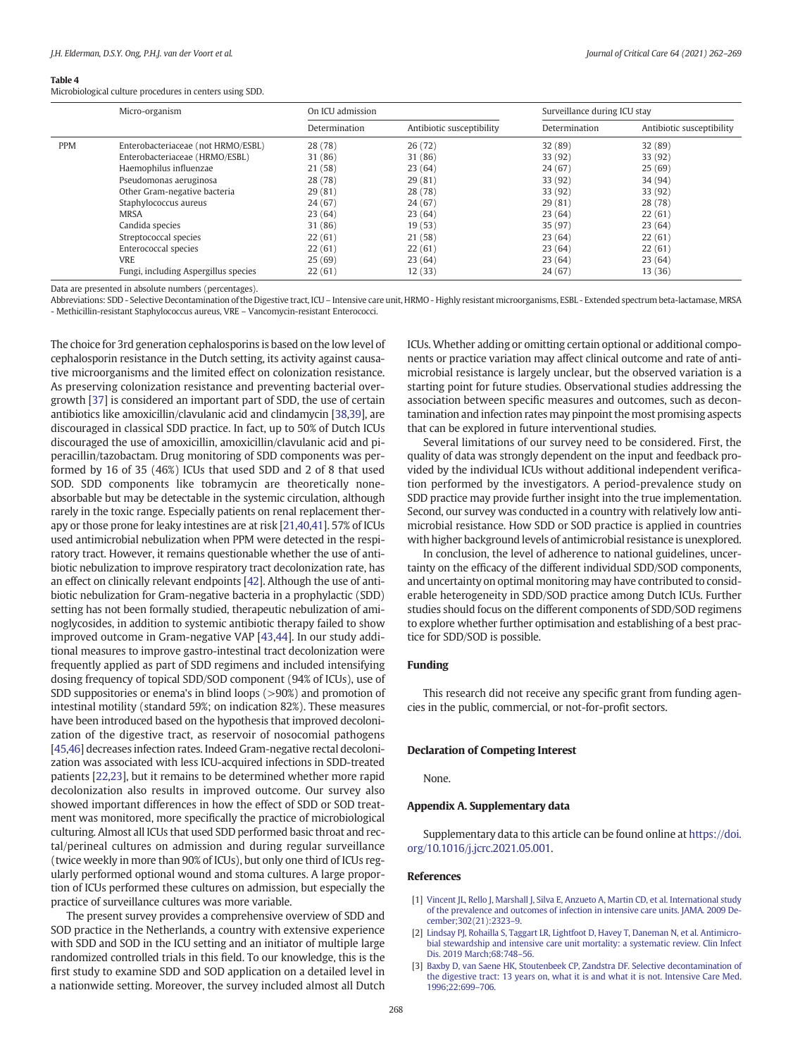### <span id="page-6-0"></span>Table 4

Microbiological culture procedures in centers using SDD.

|            | Micro-organism                       | On ICU admission |                           | Surveillance during ICU stay |                           |
|------------|--------------------------------------|------------------|---------------------------|------------------------------|---------------------------|
|            |                                      | Determination    | Antibiotic susceptibility | Determination                | Antibiotic susceptibility |
| <b>PPM</b> | Enterobacteriaceae (not HRMO/ESBL)   | 28 (78)          | 26(72)                    | 32 (89)                      | 32 (89)                   |
|            | Enterobacteriaceae (HRMO/ESBL)       | 31 (86)          | 31 (86)                   | 33(92)                       | 33 (92)                   |
|            | Haemophilus influenzae               | 21(58)           | 23(64)                    | 24(67)                       | 25(69)                    |
|            | Pseudomonas aeruginosa               | 28 (78)          | 29(81)                    | 33 (92)                      | 34 (94)                   |
|            | Other Gram-negative bacteria         | 29(81)           | 28 (78)                   | 33 (92)                      | 33 (92)                   |
|            | Staphylococcus aureus                | 24(67)           | 24 (67)                   | 29(81)                       | 28 (78)                   |
|            | <b>MRSA</b>                          | 23(64)           | 23(64)                    | 23(64)                       | 22(61)                    |
|            | Candida species                      | 31(86)           | 19(53)                    | 35 (97)                      | 23(64)                    |
|            | Streptococcal species                | 22(61)           | 21 (58)                   | 23(64)                       | 22(61)                    |
|            | Enterococcal species                 | 22(61)           | 22(61)                    | 23(64)                       | 22(61)                    |
|            | VRE                                  | 25(69)           | 23(64)                    | 23(64)                       | 23(64)                    |
|            | Fungi, including Aspergillus species | 22(61)           | 12(33)                    | 24(67)                       | 13(36)                    |

Data are presented in absolute numbers (percentages).

Abbreviations: SDD - Selective Decontamination of the Digestive tract, ICU – Intensive care unit, HRMO - Highly resistant microorganisms, ESBL - Extended spectrum beta-lactamase, MRSA - Methicillin-resistant Staphylococcus aureus, VRE – Vancomycin-resistant Enterococci.

The choice for 3rd generation cephalosporins is based on the low level of cephalosporin resistance in the Dutch setting, its activity against causative microorganisms and the limited effect on colonization resistance. As preserving colonization resistance and preventing bacterial overgrowth [\[37](#page-7-0)] is considered an important part of SDD, the use of certain antibiotics like amoxicillin/clavulanic acid and clindamycin [[38,39](#page-7-0)], are discouraged in classical SDD practice. In fact, up to 50% of Dutch ICUs discouraged the use of amoxicillin, amoxicillin/clavulanic acid and piperacillin/tazobactam. Drug monitoring of SDD components was performed by 16 of 35 (46%) ICUs that used SDD and 2 of 8 that used SOD. SDD components like tobramycin are theoretically noneabsorbable but may be detectable in the systemic circulation, although rarely in the toxic range. Especially patients on renal replacement therapy or those prone for leaky intestines are at risk [[21,40,41\]](#page-7-0). 57% of ICUs used antimicrobial nebulization when PPM were detected in the respiratory tract. However, it remains questionable whether the use of antibiotic nebulization to improve respiratory tract decolonization rate, has an effect on clinically relevant endpoints [[42\]](#page-7-0). Although the use of antibiotic nebulization for Gram-negative bacteria in a prophylactic (SDD) setting has not been formally studied, therapeutic nebulization of aminoglycosides, in addition to systemic antibiotic therapy failed to show improved outcome in Gram-negative VAP [\[43,44](#page-7-0)]. In our study additional measures to improve gastro-intestinal tract decolonization were frequently applied as part of SDD regimens and included intensifying dosing frequency of topical SDD/SOD component (94% of ICUs), use of SDD suppositories or enema's in blind loops (>90%) and promotion of intestinal motility (standard 59%; on indication 82%). These measures have been introduced based on the hypothesis that improved decolonization of the digestive tract, as reservoir of nosocomial pathogens [[45,46](#page-7-0)] decreases infection rates. Indeed Gram-negative rectal decolonization was associated with less ICU-acquired infections in SDD-treated patients [\[22,23](#page-7-0)], but it remains to be determined whether more rapid decolonization also results in improved outcome. Our survey also showed important differences in how the effect of SDD or SOD treatment was monitored, more specifically the practice of microbiological culturing. Almost all ICUs that used SDD performed basic throat and rectal/perineal cultures on admission and during regular surveillance (twice weekly in more than 90% of ICUs), but only one third of ICUs regularly performed optional wound and stoma cultures. A large proportion of ICUs performed these cultures on admission, but especially the practice of surveillance cultures was more variable.

The present survey provides a comprehensive overview of SDD and SOD practice in the Netherlands, a country with extensive experience with SDD and SOD in the ICU setting and an initiator of multiple large randomized controlled trials in this field. To our knowledge, this is the first study to examine SDD and SOD application on a detailed level in a nationwide setting. Moreover, the survey included almost all Dutch ICUs. Whether adding or omitting certain optional or additional components or practice variation may affect clinical outcome and rate of antimicrobial resistance is largely unclear, but the observed variation is a starting point for future studies. Observational studies addressing the association between specific measures and outcomes, such as decontamination and infection rates may pinpoint the most promising aspects that can be explored in future interventional studies.

Several limitations of our survey need to be considered. First, the quality of data was strongly dependent on the input and feedback provided by the individual ICUs without additional independent verification performed by the investigators. A period-prevalence study on SDD practice may provide further insight into the true implementation. Second, our survey was conducted in a country with relatively low antimicrobial resistance. How SDD or SOD practice is applied in countries with higher background levels of antimicrobial resistance is unexplored.

In conclusion, the level of adherence to national guidelines, uncertainty on the efficacy of the different individual SDD/SOD components, and uncertainty on optimal monitoring may have contributed to considerable heterogeneity in SDD/SOD practice among Dutch ICUs. Further studies should focus on the different components of SDD/SOD regimens to explore whether further optimisation and establishing of a best practice for SDD/SOD is possible.

### Funding

This research did not receive any specific grant from funding agencies in the public, commercial, or not-for-profit sectors.

### Declaration of Competing Interest

None.

### Appendix A. Supplementary data

Supplementary data to this article can be found online at [https://doi.](https://doi.org/10.1016/j.jcrc.2021.05.001) [org/10.1016/j.jcrc.2021.05.001.](https://doi.org/10.1016/j.jcrc.2021.05.001)

### References

- [1] [Vincent JL, Rello J, Marshall J, Silva E, Anzueto A, Martin CD, et al. International study](http://refhub.elsevier.com/S0883-9441(21)00080-0/rf0005) [of the prevalence and outcomes of infection in intensive care units. JAMA. 2009 De](http://refhub.elsevier.com/S0883-9441(21)00080-0/rf0005)[cember;302\(21\):2323](http://refhub.elsevier.com/S0883-9441(21)00080-0/rf0005)–9.
- [2] [Lindsay PJ, Rohailla S, Taggart LR, Lightfoot D, Havey T, Daneman N, et al. Antimicro](http://refhub.elsevier.com/S0883-9441(21)00080-0/rf0010)[bial stewardship and intensive care unit mortality: a systematic review. Clin Infect](http://refhub.elsevier.com/S0883-9441(21)00080-0/rf0010) [Dis. 2019 March;68:748](http://refhub.elsevier.com/S0883-9441(21)00080-0/rf0010)–56.
- [3] [Baxby D, van Saene HK, Stoutenbeek CP, Zandstra DF. Selective decontamination of](http://refhub.elsevier.com/S0883-9441(21)00080-0/rf0015) [the digestive tract: 13 years on, what it is and what it is not. Intensive Care Med.](http://refhub.elsevier.com/S0883-9441(21)00080-0/rf0015) [1996;22:699](http://refhub.elsevier.com/S0883-9441(21)00080-0/rf0015)–706.